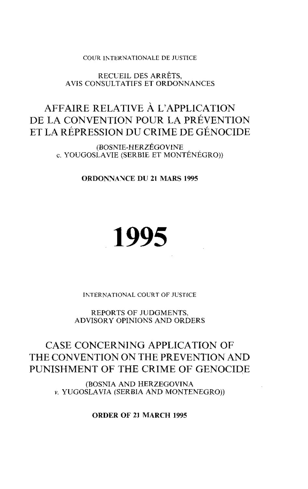COUR INTERNATIONALE DE JUSTICE

RECUEIL DES ARRÊTS, AVIS CONSULTATIFS ET ORDONNANCES

# **AFFAIRE RELATIVE À L'APPLICATION DE LA CONVENTION POUR LA PRÉVENTION ET LA RÉPRESSION DU CRIME DE GÉNOCIDE**

(BOSNIE-HERZÉGOVINE c. YOUGOSLAVIE (SERBIE ET MONTÉNÉGRO))

**ORDONNANCE DU 21 MARS 1995** 

# **1995**

INTERNATIONAL COURT OF JUSTICE

REPORTS OF JUDGMENTS, ADVISORY OPINIONS AND ORDERS

## CASE **CONCERNING APPLICATION OF THE CONVENTION ON THE PREVENTION AND PUNISHMENT OF THE CRIME OF GENOCIDE**

(BOSNIA AND HERZEGOVINA *v.* YUGOSLA VIA (SERBIA AND MONTENEGRO))

**ORDER OF 21 MARCH 1995**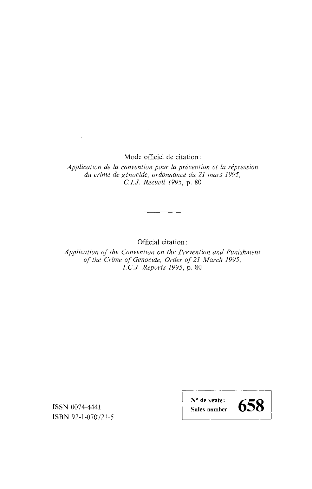Mode officiel de citation:

 $\sim 100$ 

*Application de la convention pour la prévention et la répression du crime de génocide, ordonnance du* 21 *mars 1995, CI.l. Recueil* 1995, p. 80

Official citation:

*Application of the Convention on the Prevention and Punishment of the Crime of Genocide, Order of* 21 *March 1995,*  1. *Cl. Reports* 1995, p. 80

 $\sim$ 

ISSN 0074-4441 ISBN 92-1-070721-5

 $\sim$ 

N° **de vente: Sales number** 

 $\bar{z}$ 

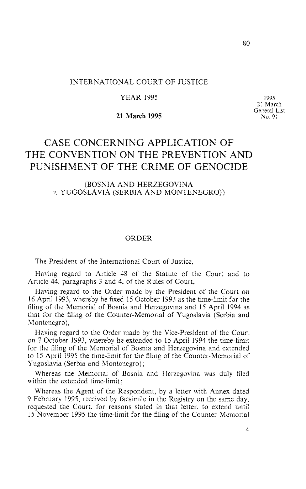## INTERNATIONAL COURT OF JUSTICE

#### YEAR 1995

**21 March 1995** 

1995 21 March General List No. 91

## CASE **CONCERNING APPLICATION OF THE CONVENTION ON THE PREVENTION AND PUNISHMENT OF THE CRIME OF GENOCIDE**

### (BOSNIA AND HERZEGOVINA *v.* YUGOSLA VIA (SERBIA AND MONTENEGRO))

#### ORDER

The President of the International Court of Justice,

Having regard to Article 48 of the Statute of the Court and to Article 44, paragraphs 3 and 4, of the Rules of Court,

Having regard to the Order made by the President of the Court on 16 April 1993, whereby he fixed 15 October 1993 as the time-limit for the filing of the Memorial of Bosnia and Herzegovina and 15 April 1994 as that for the filing of the Counter-Memorial of Yugoslavia (Serbia and Montenegro),

Having regard to the Order made by the Vice-President of the Court on 7 October 1993, whereby he extended to 15 April 1994 the time-limit for the filing of the Memorial of Bosnia and Herzegovina and extended to 15 April 1995 the time-limit for the filing of the Counter-Memorial of Yugoslavia (Serbia and Montenegro);

Whereas the Memorial of Bosnia and Herzegovina was duly filed within the extended time-limit;

Whereas the Agent of the Respondent, by a letter with Annex dated 9 February 1995, received by facsimile in the Registry on the same day, requested the Court, for reasons stated in that letter, to extend until 15 November 1995 the time-limit for the filing of the Counter-Memorial